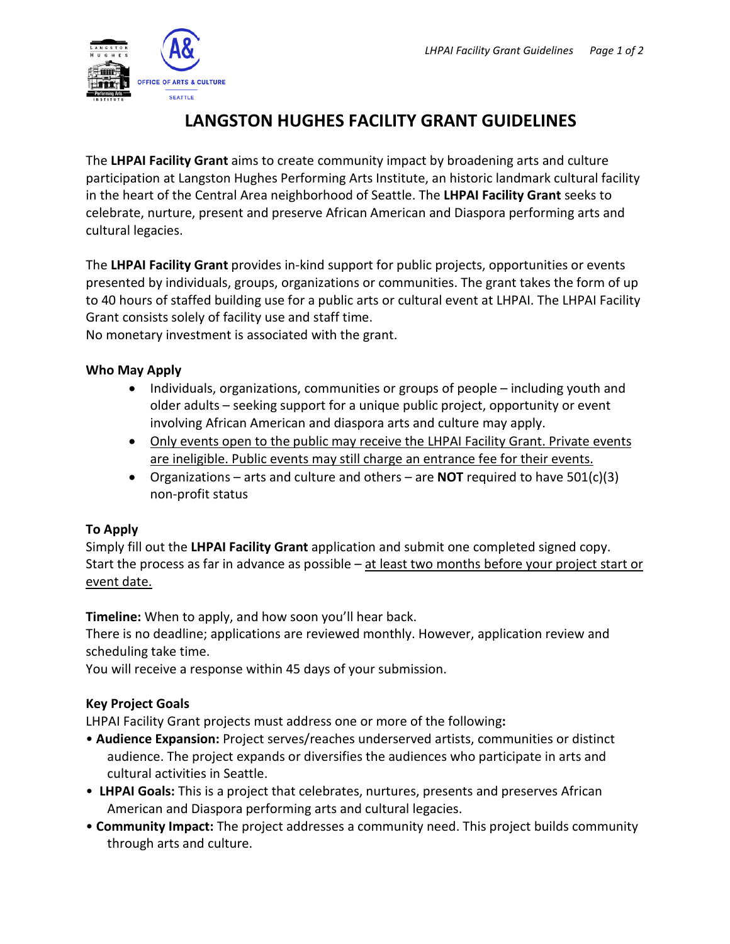

# **LANGSTON HUGHES FACILITY GRANT GUIDELINES**

The **LHPAI Facility Grant** aims to create community impact by broadening arts and culture participation at Langston Hughes Performing Arts Institute, an historic landmark cultural facility in the heart of the Central Area neighborhood of Seattle. The **LHPAI Facility Grant** seeks to celebrate, nurture, present and preserve African American and Diaspora performing arts and cultural legacies.

The **LHPAI Facility Grant** provides in-kind support for public projects, opportunities or events presented by individuals, groups, organizations or communities. The grant takes the form of up to 40 hours of staffed building use for a public arts or cultural event at LHPAI. The LHPAI Facility Grant consists solely of facility use and staff time.

No monetary investment is associated with the grant.

## **Who May Apply**

- Individuals, organizations, communities or groups of people including youth and older adults – seeking support for a unique public project, opportunity or event involving African American and diaspora arts and culture may apply.
- Only events open to the public may receive the LHPAI Facility Grant. Private events are ineligible. Public events may still charge an entrance fee for their events.
- Organizations arts and culture and others are **NOT** required to have 501(c)(3) non-profit status

# **To Apply**

Simply fill out the **LHPAI Facility Grant** application and submit one completed signed copy. Start the process as far in advance as possible – at least two months before your project start or event date.

**Timeline:** When to apply, and how soon you'll hear back.

There is no deadline; applications are reviewed monthly. However, application review and scheduling take time.

You will receive a response within 45 days of your submission.

# **Key Project Goals**

LHPAI Facility Grant projects must address one or more of the following**:** 

- **Audience Expansion:** Project serves/reaches underserved artists, communities or distinct audience. The project expands or diversifies the audiences who participate in arts and cultural activities in Seattle.
- **LHPAI Goals:** This is a project that celebrates, nurtures, presents and preserves African American and Diaspora performing arts and cultural legacies.
- **Community Impact:** The project addresses a community need. This project builds community through arts and culture.